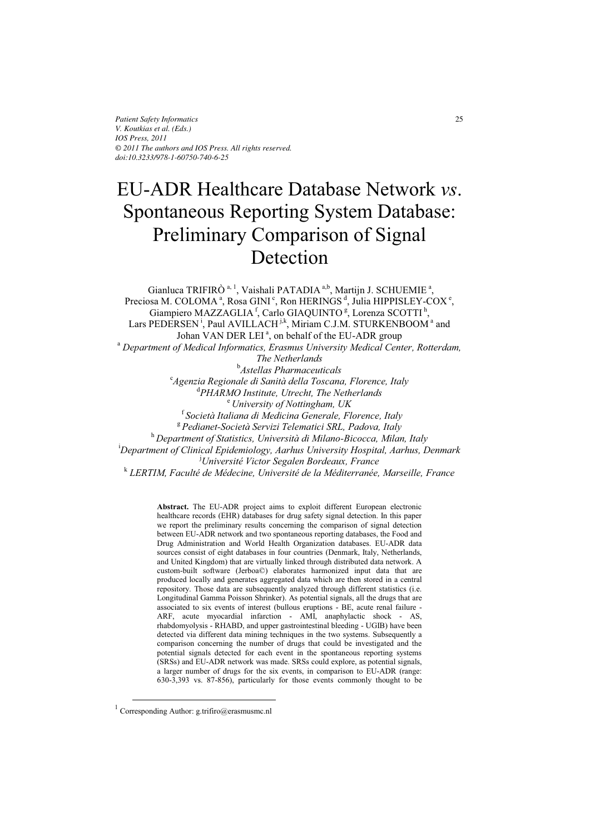*Patient Safety Informatics V. Koutkias et al. (Eds.) IOS Press, 2011 © 2011 The authors and IOS Press. All rights reserved. doi:10.3233/978-1-60750-740-6-25*

# EU-ADR Healthcare Database Network *vs*. Spontaneous Reporting System Database: Preliminary Comparison of Signal **Detection**

Gianluca TRIFIRÒ<sup>a, 1</sup>, Vaishali PATADIA<sup>a,b</sup>, Martijn J. SCHUEMIE<sup>a</sup>, Preciosa M. COLOMA<sup>a</sup>, Rosa GINI<sup>c</sup>, Ron HERINGS<sup>d</sup>, Julia HIPPISLEY-COX<sup>e</sup>, Giampiero MAZZAGLIA<sup>f</sup>, Carlo GIAQUINTO<sup>g</sup>, Lorenza SCOTTI<sup>h</sup>, Lars PEDERSEN<sup>1</sup>, Paul AVILLACH<sup>jk</sup>, Miriam C.J.M. STURKENBOOM<sup>a</sup> and Johan VAN DER LEI<sup>a</sup>, on behalf of the EU-ADR group  *Department of Medical Informatics, Erasmus University Medical Center, Rotterdam, The Netherlands*  b Astellas Pharmaceuticals *Astellas Pharmaceuticals* <sup>c</sup> *Agenzia Regionale di Sanità della Toscana, Florence, Italy*  d *PHARMO Institute, Utrecht, The Netherlands* <sup>e</sup> *University of Nottingham, UK* <sup>f</sup>*Società Italiana di Medicina Generale, Florence, Italy* <sup>g</sup> *Pedianet-Società Servizi Telematici SRL, Padova, Italy*  <sup>h</sup> *Department of Statistics, Università di Milano-Bicocca, Milan, Italy*  i *Department of Clinical Epidemiology, Aarhus University Hospital, Aarhus, Denmark*  j *Université Victor Segalen Bordeaux, France*  <sup>k</sup> LERTIM, Faculté de Médecine, Université de la Méditerranée, Marseille, France

> **Abstract.** The EU-ADR project aims to exploit different European electronic healthcare records (EHR) databases for drug safety signal detection. In this paper we report the preliminary results concerning the comparison of signal detection between EU-ADR network and two spontaneous reporting databases, the Food and Drug Administration and World Health Organization databases. EU-ADR data sources consist of eight databases in four countries (Denmark, Italy, Netherlands, and United Kingdom) that are virtually linked through distributed data network. A custom-built software (Jerboa©) elaborates harmonized input data that are produced locally and generates aggregated data which are then stored in a central repository. Those data are subsequently analyzed through different statistics (i.e. Longitudinal Gamma Poisson Shrinker). As potential signals, all the drugs that are associated to six events of interest (bullous eruptions - BE, acute renal failure - ARF, acute myocardial infarction - AMI, anaphylactic shock - AS, rhabdomyolysis - RHABD, and upper gastrointestinal bleeding - UGIB) have been detected via different data mining techniques in the two systems. Subsequently a comparison concerning the number of drugs that could be investigated and the potential signals detected for each event in the spontaneous reporting systems (SRSs) and EU-ADR network was made. SRSs could explore, as potential signals, a larger number of drugs for the six events, in comparison to EU-ADR (range: 630-3,393 vs. 87-856), particularly for those events commonly thought to be

 <sup>1</sup> Corresponding Author: g.trifiro@erasmusmc.nl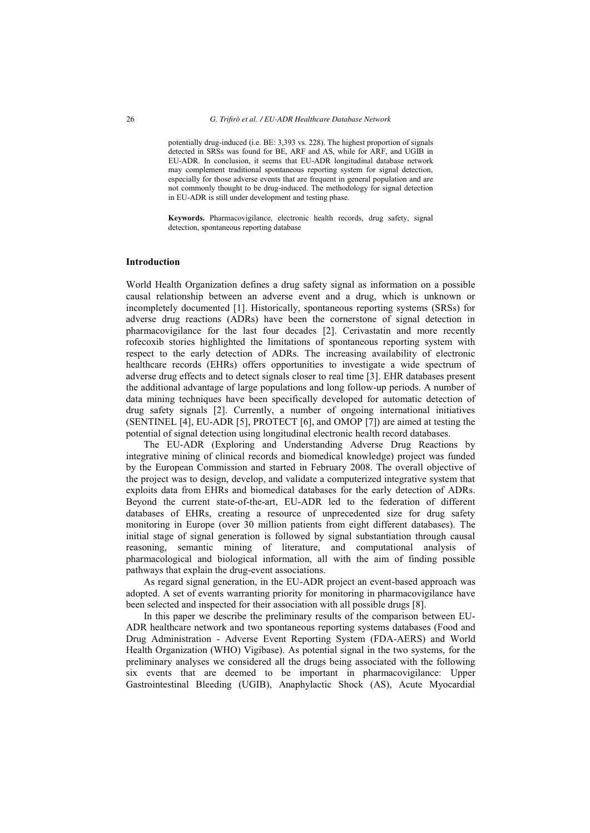potentially drug-induced (i.e. BE: 3,393 vs. 228). The highest proportion of signals detected in SRSs was found for BE, ARF and AS, while for ARF, and UGIB in EU-ADR. In conclusion, it seems that EU-ADR longitudinal database network may complement traditional spontaneous reporting system for signal detection, especially for those adverse events that are frequent in general population and are not commonly thought to be drug-induced. The methodology for signal detection in EU-ADR is still under development and testing phase.

**Keywords.** Pharmacovigilance, electronic health records, drug safety, signal detection, spontaneous reporting database

# **Introduction**

World Health Organization defines a drug safety signal as information on a possible causal relationship between an adverse event and a drug, which is unknown or incompletely documented [1]. Historically, spontaneous reporting systems (SRSs) for adverse drug reactions (ADRs) have been the cornerstone of signal detection in pharmacovigilance for the last four decades [2]. Cerivastatin and more recently rofecoxib stories highlighted the limitations of spontaneous reporting system with respect to the early detection of ADRs. The increasing availability of electronic healthcare records (EHRs) offers opportunities to investigate a wide spectrum of adverse drug effects and to detect signals closer to real time [3]. EHR databases present the additional advantage of large populations and long follow-up periods. A number of data mining techniques have been specifically developed for automatic detection of drug safety signals [2]. Currently, a number of ongoing international initiatives (SENTINEL [4], EU-ADR [5], PROTECT [6], and OMOP [7]) are aimed at testing the potential of signal detection using longitudinal electronic health record databases.

The EU-ADR (Exploring and Understanding Adverse Drug Reactions by integrative mining of clinical records and biomedical knowledge) project was funded by the European Commission and started in February 2008. The overall objective of the project was to design, develop, and validate a computerized integrative system that exploits data from EHRs and biomedical databases for the early detection of ADRs. Beyond the current state-of-the-art, EU-ADR led to the federation of different databases of EHRs, creating a resource of unprecedented size for drug safety monitoring in Europe (over 30 million patients from eight different databases). The initial stage of signal generation is followed by signal substantiation through causal reasoning, semantic mining of literature, and computational analysis of pharmacological and biological information, all with the aim of finding possible pathways that explain the drug-event associations.

As regard signal generation, in the EU-ADR project an event-based approach was adopted. A set of events warranting priority for monitoring in pharmacovigilance have been selected and inspected for their association with all possible drugs [8].

In this paper we describe the preliminary results of the comparison between EU-ADR healthcare network and two spontaneous reporting systems databases (Food and Drug Administration - Adverse Event Reporting System (FDA-AERS) and World Health Organization (WHO) Vigibase). As potential signal in the two systems, for the preliminary analyses we considered all the drugs being associated with the following six events that are deemed to be important in pharmacovigilance: Upper Gastrointestinal Bleeding (UGIB), Anaphylactic Shock (AS), Acute Myocardial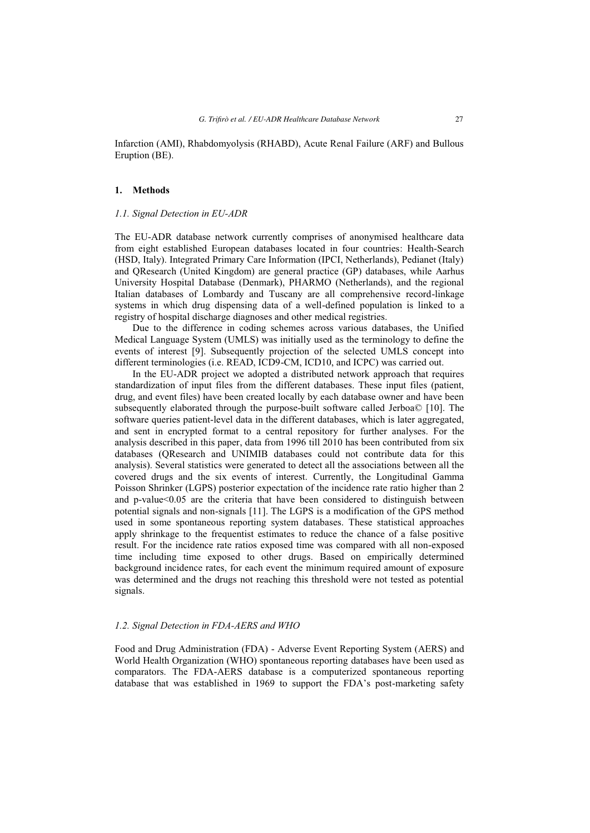Infarction (AMI), Rhabdomyolysis (RHABD), Acute Renal Failure (ARF) and Bullous Eruption (BE).

# **1. Methods**

## *1.1. Signal Detection in EU-ADR*

The EU-ADR database network currently comprises of anonymised healthcare data from eight established European databases located in four countries: Health-Search (HSD, Italy). Integrated Primary Care Information (IPCI, Netherlands), Pedianet (Italy) and QResearch (United Kingdom) are general practice (GP) databases, while Aarhus University Hospital Database (Denmark), PHARMO (Netherlands), and the regional Italian databases of Lombardy and Tuscany are all comprehensive record-linkage systems in which drug dispensing data of a well-defined population is linked to a registry of hospital discharge diagnoses and other medical registries.

Due to the difference in coding schemes across various databases, the Unified Medical Language System (UMLS) was initially used as the terminology to define the events of interest [9]. Subsequently projection of the selected UMLS concept into different terminologies (i.e. READ, ICD9-CM, ICD10, and ICPC) was carried out.

In the EU-ADR project we adopted a distributed network approach that requires standardization of input files from the different databases. These input files (patient, drug, and event files) have been created locally by each database owner and have been subsequently elaborated through the purpose-built software called Jerboa© [10]. The software queries patient-level data in the different databases, which is later aggregated, and sent in encrypted format to a central repository for further analyses. For the analysis described in this paper, data from 1996 till 2010 has been contributed from six databases (QResearch and UNIMIB databases could not contribute data for this analysis). Several statistics were generated to detect all the associations between all the covered drugs and the six events of interest. Currently, the Longitudinal Gamma Poisson Shrinker (LGPS) posterior expectation of the incidence rate ratio higher than 2 and p-value<0.05 are the criteria that have been considered to distinguish between potential signals and non-signals [11]. The LGPS is a modification of the GPS method used in some spontaneous reporting system databases. These statistical approaches apply shrinkage to the frequentist estimates to reduce the chance of a false positive result. For the incidence rate ratios exposed time was compared with all non-exposed time including time exposed to other drugs. Based on empirically determined background incidence rates, for each event the minimum required amount of exposure was determined and the drugs not reaching this threshold were not tested as potential signals.

#### *1.2. Signal Detection in FDA-AERS and WHO*

Food and Drug Administration (FDA) - Adverse Event Reporting System (AERS) and World Health Organization (WHO) spontaneous reporting databases have been used as comparators. The FDA-AERS database is a computerized spontaneous reporting database that was established in 1969 to support the FDA's post-marketing safety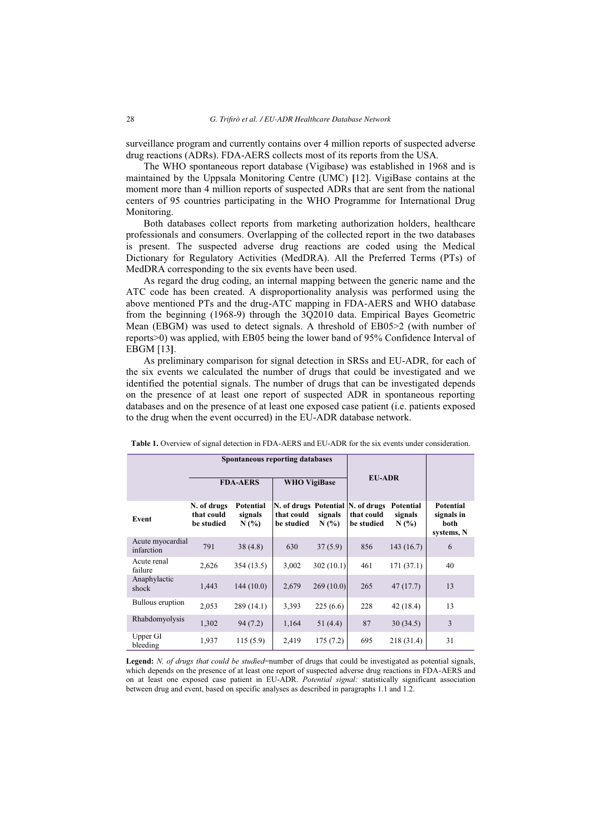surveillance program and currently contains over 4 million reports of suspected adverse drug reactions (ADRs). FDA-AERS collects most of its reports from the USA.

The WHO spontaneous report database (Vigibase) was established in 1968 and is maintained by the Uppsala Monitoring Centre (UMC) **[**12]. VigiBase contains at the moment more than 4 million reports of suspected ADRs that are sent from the national centers of 95 countries participating in the WHO Programme for International Drug Monitoring.

Both databases collect reports from marketing authorization holders, healthcare professionals and consumers. Overlapping of the collected report in the two databases is present. The suspected adverse drug reactions are coded using the Medical Dictionary for Regulatory Activities (MedDRA). All the Preferred Terms (PTs) of MedDRA corresponding to the six events have been used.

As regard the drug coding, an internal mapping between the generic name and the ATC code has been created. A disproportionality analysis was performed using the above mentioned PTs and the drug-ATC mapping in FDA-AERS and WHO database from the beginning (1968-9) through the 3Q2010 data. Empirical Bayes Geometric Mean (EBGM) was used to detect signals. A threshold of EB05>2 (with number of reports>0) was applied, with EB05 being the lower band of 95% Confidence Interval of EBGM [13**]**.

As preliminary comparison for signal detection in SRSs and EU-ADR, for each of the six events we calculated the number of drugs that could be investigated and we identified the potential signals. The number of drugs that can be investigated depends on the presence of at least one report of suspected ADR in spontaneous reporting databases and on the presence of at least one exposed case patient (i.e. patients exposed to the drug when the event occurred) in the EU-ADR database network.

|                                | Spontaneous reporting databases         |                             |                          |                    |                                                               |                             |                                               |
|--------------------------------|-----------------------------------------|-----------------------------|--------------------------|--------------------|---------------------------------------------------------------|-----------------------------|-----------------------------------------------|
|                                | <b>FDA-AERS</b>                         |                             | <b>WHO VigiBase</b>      |                    | <b>EU-ADR</b>                                                 |                             |                                               |
| Event                          | N. of drugs<br>that could<br>be studied | Potential<br>signals<br>N(% | that could<br>be studied | signals<br>$N(\%)$ | N. of drugs Potential N. of drugs<br>that could<br>be studied | Potential<br>signals<br>N(% | Potential<br>signals in<br>both<br>systems, N |
| Acute myocardial<br>infarction | 791                                     | 38(4.8)                     | 630                      | 37(5.9)            | 856                                                           | 143(16.7)                   | 6                                             |
| Acute renal<br>failure         | 2,626                                   | 354 (13.5)                  | 3,002                    | 302(10.1)          | 461                                                           | 171(37.1)                   | 40                                            |
| Anaphylactic<br>shock          | 1,443                                   | 144(10.0)                   | 2,679                    | 269(10.0)          | 265                                                           | 47(17.7)                    | 13                                            |
| Bullous eruption               | 2,053                                   | 289(14.1)                   | 3,393                    | 225(6.6)           | 228                                                           | 42 (18.4)                   | 13                                            |
| Rhabdomyolysis                 | 1,302                                   | 94(7.2)                     | 1,164                    | 51 (4.4)           | 87                                                            | 30(34.5)                    | 3                                             |
| Upper GI<br>bleeding           | 1,937                                   | 115(5.9)                    | 2,419                    | 175(7.2)           | 695                                                           | 218 (31.4)                  | 31                                            |

**Table 1.** Overview of signal detection in FDA-AERS and EU-ADR for the six events under consideration.

Legend: *N. of drugs that could be studied*=number of drugs that could be investigated as potential signals, which depends on the presence of at least one report of suspected adverse drug reactions in FDA-AERS and on at least one exposed case patient in EU-ADR. *Potential signal:* statistically significant association between drug and event, based on specific analyses as described in paragraphs 1.1 and 1.2.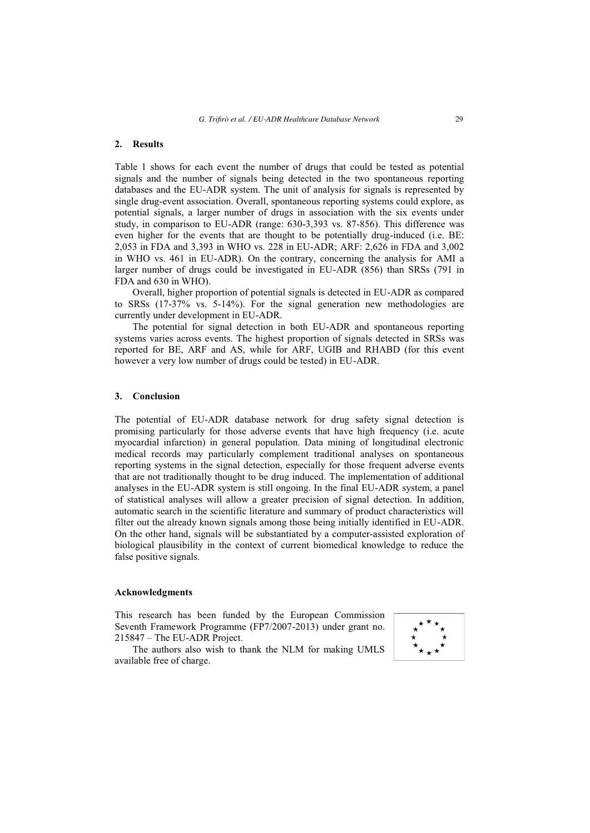#### **2. Results**

Table 1 shows for each event the number of drugs that could be tested as potential signals and the number of signals being detected in the two spontaneous reporting databases and the EU-ADR system. The unit of analysis for signals is represented by single drug-event association. Overall, spontaneous reporting systems could explore, as potential signals, a larger number of drugs in association with the six events under study, in comparison to EU-ADR (range: 630-3,393 vs. 87-856). This difference was even higher for the events that are thought to be potentially drug-induced (i.e. BE: 2,053 in FDA and 3,393 in WHO vs. 228 in EU-ADR; ARF: 2,626 in FDA and 3,002 in WHO vs. 461 in EU-ADR). On the contrary, concerning the analysis for AMI a larger number of drugs could be investigated in EU-ADR (856) than SRSs (791 in FDA and 630 in WHO).

Overall, higher proportion of potential signals is detected in EU-ADR as compared to SRSs (17-37% vs. 5-14%). For the signal generation new methodologies are currently under development in EU-ADR.

The potential for signal detection in both EU-ADR and spontaneous reporting systems varies across events. The highest proportion of signals detected in SRSs was reported for BE, ARF and AS, while for ARF, UGIB and RHABD (for this event however a very low number of drugs could be tested) in EU-ADR.

#### **3. Conclusion**

The potential of EU-ADR database network for drug safety signal detection is promising particularly for those adverse events that have high frequency (i.e. acute myocardial infarction) in general population. Data mining of longitudinal electronic medical records may particularly complement traditional analyses on spontaneous reporting systems in the signal detection, especially for those frequent adverse events that are not traditionally thought to be drug induced. The implementation of additional analyses in the EU-ADR system is still ongoing. In the final EU-ADR system, a panel of statistical analyses will allow a greater precision of signal detection. In addition, automatic search in the scientific literature and summary of product characteristics will filter out the already known signals among those being initially identified in EU-ADR. On the other hand, signals will be substantiated by a computer-assisted exploration of biological plausibility in the context of current biomedical knowledge to reduce the false positive signals.

#### **Acknowledgments**

This research has been funded by the European Commission Seventh Framework Programme (FP7/2007-2013) under grant no. 215847 – The EU-ADR Project.

The authors also wish to thank the NLM for making UMLS available free of charge.